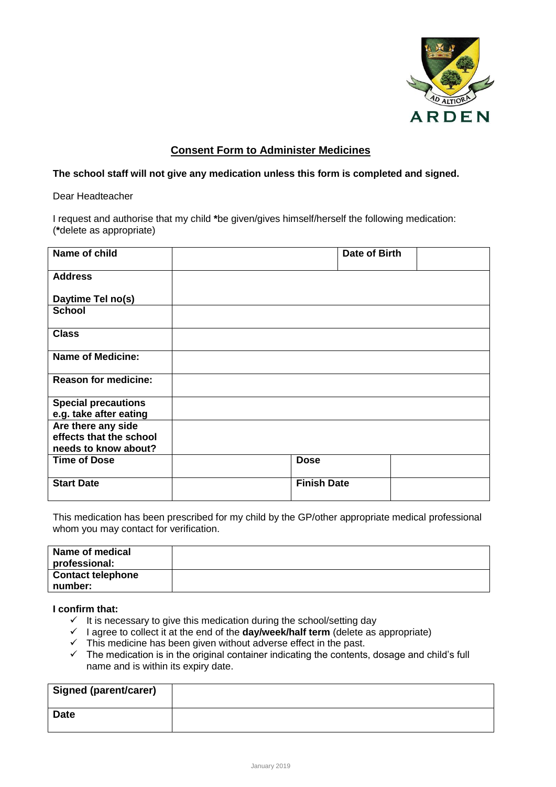

## **Consent Form to Administer Medicines**

## **The school staff will not give any medication unless this form is completed and signed.**

Dear Headteacher

I request and authorise that my child **\***be given/gives himself/herself the following medication: (**\***delete as appropriate)

| Name of child               | Date of Birth      |
|-----------------------------|--------------------|
| <b>Address</b>              |                    |
| Daytime Tel no(s)           |                    |
| <b>School</b>               |                    |
| <b>Class</b>                |                    |
| <b>Name of Medicine:</b>    |                    |
| <b>Reason for medicine:</b> |                    |
| <b>Special precautions</b>  |                    |
| e.g. take after eating      |                    |
| Are there any side          |                    |
| effects that the school     |                    |
| needs to know about?        |                    |
| <b>Time of Dose</b>         | <b>Dose</b>        |
| <b>Start Date</b>           | <b>Finish Date</b> |

This medication has been prescribed for my child by the GP/other appropriate medical professional whom you may contact for verification.

| Name of medical          |  |
|--------------------------|--|
| professional:            |  |
| <b>Contact telephone</b> |  |
| number:                  |  |

## **I confirm that:**

- $\checkmark$  It is necessary to give this medication during the school/setting day
- $\checkmark$  I agree to collect it at the end of the **day/week/half term** (delete as appropriate)
- $\checkmark$  This medicine has been given without adverse effect in the past.
- $\checkmark$  The medication is in the original container indicating the contents, dosage and child's full name and is within its expiry date.

| <b>Signed (parent/carer)</b> |  |
|------------------------------|--|
| <b>Date</b>                  |  |